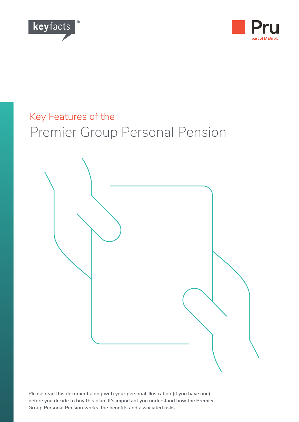



# Key Features of the Premier Group Personal Pension



**Please read this document along with your personal illustration (if you have one) before you decide to buy this plan. It's important you understand how the Premier Group Personal Pension works, the benefits and associated risks.**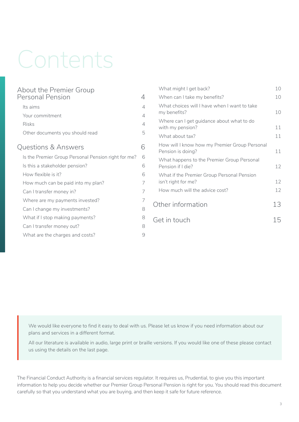# Contents

| <b>About the Premier Group</b>                      |                |
|-----------------------------------------------------|----------------|
| <b>Personal Pension</b>                             | 4              |
| Its aims                                            | $\overline{4}$ |
| Your commitment                                     | $\overline{4}$ |
| Risks                                               | $\overline{4}$ |
| Other documents you should read                     | 5              |
| <b>Questions &amp; Answers</b>                      | 6              |
| Is the Premier Group Personal Pension right for me? | 6              |
| Is this a stakeholder pension?                      | 6              |
| How flexible is it?                                 | 6              |
| How much can be paid into my plan?                  | 7              |
| Can I transfer money in?                            | 7              |
| Where are my payments invested?                     | 7              |
| Can I change my investments?                        | 8              |
| What if I stop making payments?                     | 8              |
| Can I transfer money out?                           | 8              |
| What are the charges and costs?                     | 9              |

| What might I get back?                                             | 10  |
|--------------------------------------------------------------------|-----|
| When can I take my benefits?                                       | 10  |
| What choices will I have when I want to take<br>my benefits?       | 10  |
| Where can I get guidance about what to do<br>with my pension?      | 11  |
| What about tax?                                                    | 11  |
| How will I know how my Premier Group Personal<br>Pension is doing? | 11  |
| What happens to the Premier Group Personal<br>Pension if I die?    | 12  |
| What if the Premier Group Personal Pension<br>isn't right for me?  | 12  |
| How much will the advice cost?                                     | 12  |
| Other information                                                  | 13  |
| Get in touch                                                       | 1 h |
|                                                                    |     |

We would like everyone to find it easy to deal with us. Please let us know if you need information about our plans and services in a different format.

All our literature is available in audio, large print or braille versions. If you would like one of these please contact us using the details on the last page.

The Financial Conduct Authority is a financial services regulator. It requires us, Prudential, to give you this important information to help you decide whether our Premier Group Personal Pension is right for you. You should read this document carefully so that you understand what you are buying, and then keep it safe for future reference.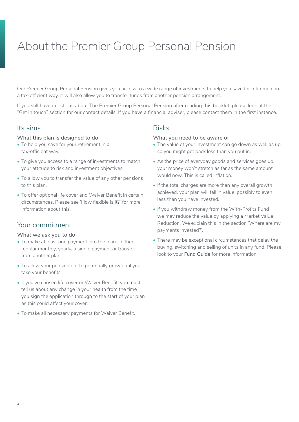# <span id="page-3-0"></span>About the Premier Group Personal Pension

Our Premier Group Personal Pension gives you access to a wide range of investments to help you save for retirement in a tax-efficient way. It will also allow you to transfer funds from another pension arrangement.

If you still have questions about The Premier Group Personal Pension after reading this booklet, please look at the "Get in touch" section for our contact details. If you have a financial adviser, please contact them in the first instance.

#### Its aims

#### **What this plan is designed to do**

- To help you save for your retirement in a tax-efficient way.
- To give you access to a range of investments to match your attitude to risk and investment objectives.
- To allow you to transfer the value of any other pensions to this plan.
- To offer optional life cover and Waiver Benefit in certain circumstances. Please see 'How flexible is it?' for more information about this.

## Your commitment

#### **What we ask you to do**

- To make at least one payment into the plan either regular monthly, yearly, a single payment or transfer from another plan.
- To allow your pension pot to potentially grow until you take your benefits.
- If you've chosen life cover or Waiver Benefit, you must tell us about any change in your health from the time you sign the application through to the start of your plan as this could affect your cover.
- To make all necessary payments for Waiver Benefit.

#### Risks

#### **What you need to be aware of**

- The value of your investment can go down as well as up so you might get back less than you put in.
- As the price of everyday goods and services goes up, your money won't stretch as far as the same amount would now. This is called inflation.
- If the total charges are more than any overall growth achieved, your plan will fall in value, possibly to even less than you have invested.
- If you withdraw money from the With-Profits Fund we may reduce the value by applying a Market Value Reduction. We explain this in the section 'Where are my payments invested?'.
- There may be exceptional circumstances that delay the buying, switching and selling of units in any fund. Please look to your **Fund Guide** for more information.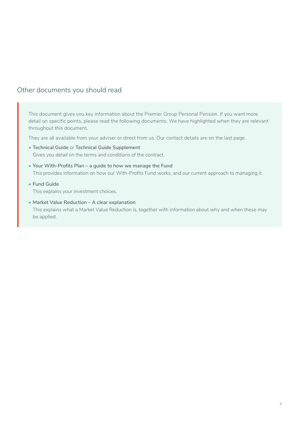## <span id="page-4-0"></span>Other documents you should read

This document gives you key information about the Premier Group Personal Pension. If you want more detail on specific points, please read the following documents. We have highlighted when they are relevant throughout this document.

They are all available from your adviser or direct from us. Our contact details are on the last page.

- **• Technical Guide** or **Technical Guide Supplement** Gives you detail on the terms and conditions of the contract.
- **• Your With-Profits Plan a guide to how we manage the Fund** This provides information on how our With-Profits Fund works, and our current approach to managing it
- **• Fund Guide** This explains your investment choices.
- **• Market Value Reduction A clear explanation** This explains what a Market Value Reduction is, together with information about why and when these may be applied.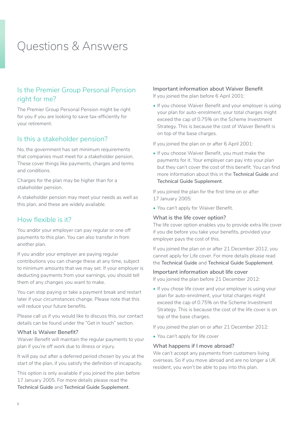# <span id="page-5-0"></span>Questions & Answers

## Is the Premier Group Personal Pension right for me?

The Premier Group Personal Pension might be right for you if you are looking to save tax-efficiently for your retirement.

#### Is this a stakeholder pension?

No, the government has set minimum requirements that companies must meet for a stakeholder pension. These cover things like payments, charges and terms and conditions.

Charges for the plan may be higher than for a stakeholder pension.

A stakeholder pension may meet your needs as well as this plan, and these are widely available.

#### How flexible is it?

You and/or your employer can pay regular or one off payments to this plan. You can also transfer in from another plan.

If you and/or your employer are paying regular contributions you can change these at any time, subject to minimum amounts that we may set. If your employer is deducting payments from your earnings, you should tell them of any changes you want to make.

You can stop paying or take a payment break and restart later if your circumstances change. Please note that this will reduce your future benefits.

Please call us if you would like to discuss this, our contact details can be found under the "Get in touch" section.

#### **What is Waiver Benefit?**

Waiver Benefit will maintain the regular payments to your plan if you're off work due to illness or injury.

It will pay out after a deferred period chosen by you at the start of the plan, if you satisfy the definition of incapacity.

This option is only available if you joined the plan before 17 January 2005. For more details please read the **Technical Guide** and **Technical Guide Supplement**.

#### **Important information about Waiver Benefit**

If you joined the plan before 6 April 2001:

• If you choose Waiver Benefit and your employer is using your plan for auto-enrolment, your total charges might exceed the cap of 0.75% on the Scheme Investment Strategy. This is because the cost of Waiver Benefit is on top of the base charges.

If you joined the plan on or after 6 April 2001:

• If you choose Waiver Benefit, you must make the payments for it. Your employer can pay into your plan but they can't cover the cost of this benefit. You can find more information about this in the **Technical Guide** and **Technical Guide Supplement**.

If you joined the plan for the first time on or after 17 January 2005:

• You can't apply for Waiver Benefit.

#### **What is the life cover option?**

The life cover option enables you to provide extra life cover if you die before you take your benefits, provided your employer pays the cost of this.

If you joined the plan on or after 21 December 2012, you cannot apply for Life cover. For more details please read the **Technical Guide** and **Technical Guide Supplement**.

#### **Important information about life cover**

If you joined the plan before 21 December 2012:

• If you chose life cover and your employer is using your plan for auto-enrolment, your total charges might exceed the cap of 0.75% on the Scheme Investment Strategy. This is because the cost of the life cover is on top of the base charges.

If you joined the plan on or after 21 December 2012:

• You can't apply for life cover

#### **What happens if I move abroad?**

We can't accept any payments from customers living overseas. So if you move abroad and are no longer a UK resident, you won't be able to pay into this plan.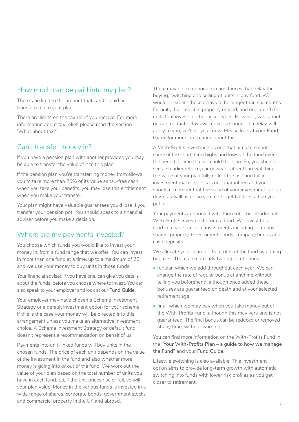## <span id="page-6-0"></span>How much can be paid into my plan?

There's no limit to the amount that can be paid or transferred into your plan.

There are limits on the tax relief you receive. For more information about tax relief, please read the section 'What about tax?'.

## Can I transfer money in?

If you have a pension plan with another provider, you may be able to transfer the value of it to this plan.

If the pension plan you're transferring money from allows you to take more than 25% of its value as tax-free cash when you take your benefits, you may lose this entitlement when you make your transfer.

Your plan might have valuable guarantees you'd lose if you transfer your pension pot. You should speak to a financial adviser before you make a decision.

## Where are my payments invested?

You choose which funds you would like to invest your money in, from a fund range that we offer. You can invest in more than one fund at a time, up to a maximum of 20 and we use your money to buy units in those funds.

Your financial adviser, if you have one, can give you details about the funds, before you choose where to invest. You can also speak to your employer and look at our **Fund Guide.**

Your employer may have chosen a Scheme Investment Strategy or a default investment option for your scheme. If this is the case your money will be directed into this arrangement unless you make an alternative investment choice. A Scheme Investment Strategy or default fund doesn't represent a recommendation on behalf of us.

Payments into unit-linked funds will buy units in the chosen funds. The price of each unit depends on the value of the investment in the fund and also whether more money is going into or out of the fund. We work out the value of your plan based on the total number of units you have in each fund. So, if the unit prices rise or fall, so will your plan value. Money in the various funds is invested in a wide range of shares, corporate bonds, government stocks and commercial property in the UK and abroad.

There may be exceptional circumstances that delay the buying, switching and selling of units in any fund. We wouldn't expect these delays to be longer than six months for units that invest in property or land, and one month for units that invest in other asset types. However, we cannot guarantee that delays will never be longer. If a delay will apply to you, we'll let you know. Please look at your **Fund Guide** for more information about this.

A With-Profits investment is one that aims to smooth some of the short-term highs and lows of the fund over the period of time that you hold the plan. So, you should see a steadier return year on year, rather than watching the value of your plan fully reflect the rise and fall in investment markets. This is not guaranteed and you should remember that the value of your investment can go down as well as up so you might get back less than you put in.

Your payments are pooled with those of other Prudential With-Profits investors to form a fund. We invest this fund in a wide range of investments including company shares, property, Government bonds, company bonds and cash deposits.

We allocate your share of the profits of the fund by adding bonuses. There are currently two types of bonus:

- regular, which we add throughout each year. We can change the rate of regular bonus at anytime without telling you beforehand, although once added these bonuses are guaranteed on death and at your selected retirement age,
- final, which we may pay when you take money out of the With-Profits Fund, although this may vary and is not guaranteed. The final bonus can be reduced or removed at any time, without warning.

You can find more information on the With-Profits Fund in the **"Your With-Profits Plan – a guide to how we manage the Fund"** and your **Fund Guide**.

Lifestyle switching is also available. This investment option aims to provide long-term growth with automatic switching into funds with lower risk profiles as you get closer to retirement.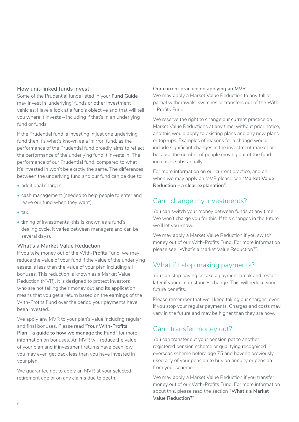#### <span id="page-7-0"></span>**How unit-linked funds invest**

Some of the Prudential funds listed in your **Fund Guide** may invest in 'underlying' funds or other investment vehicles. Have a look at a fund's objective and that will tell you where it invests – including if that's in an underlying fund or funds.

If the Prudential fund is investing in just one underlying fund then it's what's known as a 'mirror' fund, as the performance of the Prudential fund broadly aims to reflect the performance of the underlying fund it invests in. The performance of our Prudential fund, compared to what it's invested in won't be exactly the same. The differences between the underlying fund and our fund can be due to:

- additional charges.
- cash management (needed to help people to enter and leave our fund when they want),
- tax,
- timing of investments (this is known as a fund's dealing cycle, it varies between managers and can be several days).

#### **What's a Market Value Reduction**

If you take money out of the With-Profits Fund, we may reduce the value of your fund if the value of the underlying assets is less than the value of your plan including all bonuses. This reduction is known as a Market Value Reduction (MVR). It is designed to protect investors who are not taking their money out and its application means that you get a return based on the earnings of the With-Profits Fund over the period your payments have been invested.

We apply any MVR to your plan's value including regular and final bonuses. Please read **"Your With-Profits Plan – a guide to how we manage the Fund"** for more information on bonuses. An MVR will reduce the value of your plan and if investment returns have been low, you may even get back less than you have invested in your plan.

We guarantee not to apply an MVR at your selected retirement age or on any claims due to death.

#### **Our current practice on applying an MVR**

We may apply a Market Value Reduction to any full or partial withdrawals, switches or transfers out of the With – Profits Fund.

We reserve the right to change our current practice on Market Value Reductions at any time, without prior notice, and this would apply to existing plans and any new plans or top-ups. Examples of reasons for a change would include significant changes in the investment market or because the number of people moving out of the fund increases substantially.

For more information on our current practice, and on when we may apply an MVR please see **"Market Value Reduction – a clear explanation"**.

## Can I change my investments?

You can switch your money between funds at any time. We won't charge you for this. If this changes in the future we'll let you know.

We may apply a Market Value Reduction if you switch money out of our With-Profits Fund. For more information please see "What's a Market Value Reduction?".

## What if I stop making payments?

You can stop paying or take a payment break and restart later if your circumstances change. This will reduce your future benefits.

Please remember that we'll keep taking our charges, even if you stop your regular payments. Charges and costs may vary in the future and may be higher than they are now.

## Can I transfer money out?

You can transfer out your pension pot to another registered pension scheme or qualifying recognised overseas scheme before age 75 and haven't previously used any of your pension to buy an annuity or pension from your scheme.

We may apply a Market Value Reduction if you transfer money out of our With-Profits Fund. For more information about this, please read the section **"What's a Market Value Reduction?"**.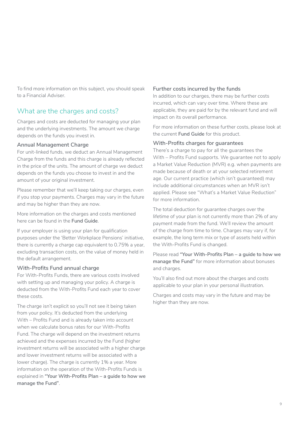<span id="page-8-0"></span>To find more information on this subject, you should speak to a Financial Adviser.

## What are the charges and costs?

Charges and costs are deducted for managing your plan and the underlying investments. The amount we charge depends on the funds you invest in.

#### **Annual Management Charge**

For unit-linked funds, we deduct an Annual Management Charge from the funds and this charge is already reflected in the price of the units. The amount of charge we deduct depends on the funds you choose to invest in and the amount of your original investment.

Please remember that we'll keep taking our charges, even if you stop your payments. Charges may vary in the future and may be higher than they are now.

More information on the charges and costs mentioned here can be found in the **Fund Guide**.

If your employer is using your plan for qualification purposes under the 'Better Workplace Pensions' initiative, there is currently a charge cap equivalent to 0.75% a year, excluding transaction costs, on the value of money held in the default arrangement.

#### **With-Profits Fund annual charge**

For With-Profits Funds, there are various costs involved with setting up and managing your policy. A charge is deducted from the With-Profits Fund each year to cover these costs.

The charge isn't explicit so you'll not see it being taken from your policy. It's deducted from the underlying With – Profits Fund and is already taken into account when we calculate bonus rates for our With-Profits Fund. The charge will depend on the investment returns achieved and the expenses incurred by the Fund (higher investment returns will be associated with a higher charge and lower investment returns will be associated with a lower charge). The charge is currently 1% a year. More information on the operation of the With-Profits Funds is explained in **"Your With-Profits Plan – a guide to how we manage the Fund"**.

#### **Further costs incurred by the funds**

In addition to our charges, there may be further costs incurred, which can vary over time. Where these are applicable, they are paid for by the relevant fund and will impact on its overall performance.

For more information on these further costs, please look at the current **Fund Guide** for this product.

#### **With-Profits charges for guarantees**

There's a charge to pay for all the guarantees the With – Profits Fund supports. We quarantee not to apply a Market Value Reduction (MVR) e.g. when payments are made because of death or at your selected retirement age. Our current practice (which isn't guaranteed) may include additional circumstances when an MVR isn't applied. Please see "What's a Market Value Reduction" for more information.

The total deduction for guarantee charges over the lifetime of your plan is not currently more than 2% of any payment made from the fund. We'll review the amount of the charge from time to time. Charges may vary if, for example, the long term mix or type of assets held within the With-Profits Fund is changed.

Please read **"Your With-Profits Plan – a guide to how we manage the Fund"** for more information about bonuses and charges.

You'll also find out more about the charges and costs applicable to your plan in your personal illustration.

Charges and costs may vary in the future and may be higher than they are now.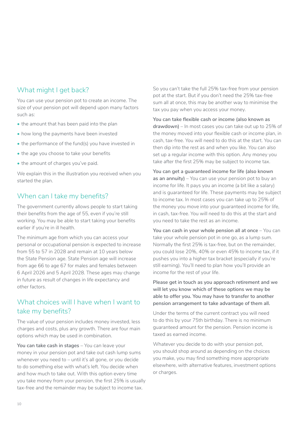## <span id="page-9-0"></span>What might I get back?

You can use your pension pot to create an income. The size of your pension pot will depend upon many factors such as:

- the amount that has been paid into the plan
- how long the payments have been invested
- the performance of the fund(s) you have invested in
- the age you choose to take your benefits
- the amount of charges you've paid.

We explain this in the illustration you received when you started the plan.

## When can I take my benefits?

The government currently allows people to start taking their benefits from the age of 55, even if you're still working. You may be able to start taking your benefits earlier if you're in ill health.

The minimum age from which you can access your personal or occupational pension is expected to increase from 55 to 57 in 2028 and remain at 10 years below the State Pension age. State Pension age will increase from age 66 to age 67 for males and females between 6 April 2026 and 5 April 2028. These ages may change in future as result of changes in life expectancy and other factors.

## What choices will I have when I want to take my benefits?

The value of your pension includes money invested, less charges and costs, plus any growth. There are four main options which may be used in combination.

**You can take cash in stages** – You can leave your money in your pension pot and take out cash lump sums whenever you need to – until it's all gone, or you decide to do something else with what's left. You decide when and how much to take out. With this option every time you take money from your pension, the first 25% is usually tax-free and the remainder may be subject to income tax.

So you can't take the full 25% tax-free from your pension pot at the start. But if you don't need the 25% tax-free sum all at once, this may be another way to minimise the tax you pay when you access your money.

**You can take flexible cash or income (also known as drawdown)** – In most cases you can take out up to 25% of the money moved into your flexible cash or income plan, in cash, tax-free. You will need to do this at the start. You can then dip into the rest as and when you like. You can also set up a regular income with this option. Any money you take after the first 25% may be subject to income tax.

**You can get a guaranteed income for life (also known as an annuity)** – You can use your pension pot to buy an income for life. It pays you an income (a bit like a salary) and is guaranteed for life. These payments may be subject to income tax. In most cases you can take up to 25% of the money you move into your guaranteed income for life, in cash, tax-free. You will need to do this at the start and you need to take the rest as an income.

**You can cash in your whole pension all at once** – You can take your whole pension pot in one go, as a lump sum. Normally the first 25% is tax-free, but on the remainder, you could lose 20%, 40% or even 45% to income tax, if it pushes you into a higher tax bracket (especially if you're still earning). You'll need to plan how you'll provide an income for the rest of your life.

**Please get in touch as you approach retirement and we will let you know which of these options we may be able to offer you. You may have to transfer to another pension arrangement to take advantage of them all.**

Under the terms of the current contract you will need to do this by your 75th birthday. There is no minimum guaranteed amount for the pension. Pension income is taxed as earned income.

Whatever you decide to do with your pension pot, you should shop around as depending on the choices you make, you may find something more appropriate elsewhere, with alternative features, investment options or charges.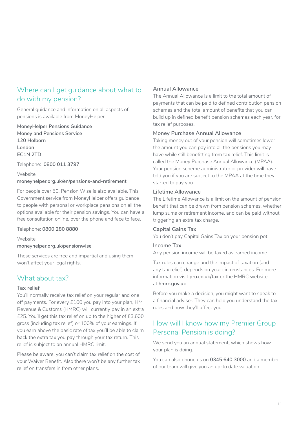## <span id="page-10-0"></span>Where can I get guidance about what to do with my pension?

General guidance and information on all aspects of pensions is available from MoneyHelper.

**MoneyHelper Pensions Guidance Money and Pensions Service 120 Holborn London EC1N 2TD**

Telephone: **0800 011 3797**

Website: **[moneyhelper.org.uk/en/pensions-and-retirement](https://www.moneyhelper.org.uk/en/pensions-and-retirement)**

For people over 50, Pension Wise is also available. This Government service from MoneyHelper offers guidance to people with personal or workplace pensions on all the options available for their pension savings. You can have a free consultation online, over the phone and face to face.

#### Telephone: **0800 280 8880**

Website:

#### **[moneyhelper.org.uk/pensionwise](https://www.moneyhelper.org.uk/pensionwise)**

These services are free and impartial and using them won't affect your legal rights.

## What about tax?

#### **Tax relief**

You'll normally receive tax relief on your regular and one off payments. For every £100 you pay into your plan, HM Revenue & Customs (HMRC) will currently pay in an extra £25. You'll get this tax relief on up to the higher of £3,600 gross (including tax relief) or 100% of your earnings. If you earn above the basic rate of tax you'll be able to claim back the extra tax you pay through your tax return. This relief is subject to an annual HMRC limit.

Please be aware, you can't claim tax relief on the cost of your Waiver Benefit. Also there won't be any further tax relief on transfers in from other plans.

#### **Annual Allowance**

The Annual Allowance is a limit to the total amount of payments that can be paid to defined contribution pension schemes and the total amount of benefits that you can build up in defined benefit pension schemes each year, for tax relief purposes.

#### **Money Purchase Annual Allowance**

Taking money out of your pension will sometimes lower the amount you can pay into all the pensions you may have while still benefitting from tax relief. This limit is called the Money Purchase Annual Allowance (MPAA). Your pension scheme administrator or provider will have told you if you are subject to the MPAA at the time they started to pay you.

#### **Lifetime Allowance**

The Lifetime Allowance is a limit on the amount of pension benefit that can be drawn from pension schemes, whether lump sums or retirement income, and can be paid without triggering an extra tax charge.

#### **Capital Gains Tax**

You don't pay Capital Gains Tax on your pension pot.

#### **Income Tax**

Any pension income will be taxed as earned income.

Tax rules can change and the impact of taxation (and any tax relief) depends on your circumstances. For more information visit **[pru.co.uk/tax](https://www.pru.co.uk/pensions-retirement/help-guides-and-articles/tax-information/?utm_source=redirect&utm_medium=301&utm_campaign=/tax)** or the HMRC website at **[hmrc.gov.uk](https://www.gov.uk/government/organisations/hm-revenue-customs)**

Before you make a decision, you might want to speak to a financial adviser. They can help you understand the tax rules and how they'll affect you.

## How will I know how my Premier Group Personal Pension is doing?

We send you an annual statement, which shows how your plan is doing.

You can also phone us on **0345 640 3000** and a member of our team will give you an up-to date valuation.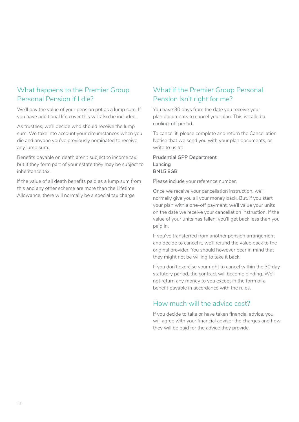## <span id="page-11-0"></span>What happens to the Premier Group Personal Pension if I die?

We'll pay the value of your pension pot as a lump sum. If you have additional life cover this will also be included.

As trustees, we'll decide who should receive the lump sum. We take into account your circumstances when you die and anyone you've previously nominated to receive any lump sum.

Benefits payable on death aren't subject to income tax, but if they form part of your estate they may be subject to inheritance tax.

If the value of all death benefits paid as a lump sum from this and any other scheme are more than the Lifetime Allowance, there will normally be a special tax charge.

## What if the Premier Group Personal Pension isn't right for me?

You have 30 days from the date you receive your plan documents to cancel your plan. This is called a cooling-off period.

To cancel it, please complete and return the Cancellation Notice that we send you with your plan documents, or write to us at:

**Prudential GPP Department Lancing BN15 8GB**

Please include your reference number.

Once we receive your cancellation instruction, we'll normally give you all your money back. But, if you start your plan with a one-off payment, we'll value your units on the date we receive your cancellation instruction. If the value of your units has fallen, you'll get back less than you paid in.

If you've transferred from another pension arrangement and decide to cancel it, we'll refund the value back to the original provider. You should however bear in mind that they might not be willing to take it back.

If you don't exercise your right to cancel within the 30 day statutory period, the contract will become binding. We'll not return any money to you except in the form of a benefit payable in accordance with the rules.

## How much will the advice cost?

If you decide to take or have taken financial advice, you will agree with your financial adviser the charges and how they will be paid for the advice they provide.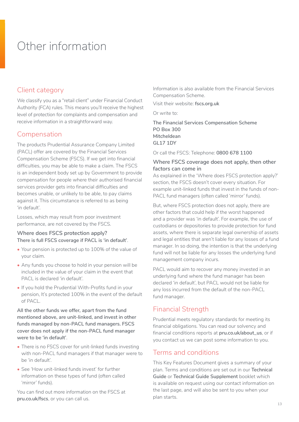# <span id="page-12-0"></span>Other information

## Client category

We classify you as a "retail client" under Financial Conduct Authority (FCA) rules. This means you'll receive the highest level of protection for complaints and compensation and receive information in a straightforward way.

## Compensation

The products Prudential Assurance Company Limited (PACL) offer are covered by the Financial Services Compensation Scheme (FSCS). If we get into financial difficulties, you may be able to make a claim. The FSCS is an independent body set up by Government to provide compensation for people where their authorised financial services provider gets into financial difficulties and becomes unable, or unlikely to be able, to pay claims against it. This circumstance is referred to as being 'in default'.

Losses, which may result from poor investment performance, are not covered by the FSCS.

**Where does FSCS protection apply? There is full FSCS coverage if PACL is 'in default'**.

- Your pension is protected up to 100% of the value of your claim.
- Any funds you choose to hold in your pension will be included in the value of your claim in the event that PACL is declared 'in default'.
- If you hold the Prudential With-Profits fund in your pension, It's protected 100% in the event of the default of PACL.

**All the other funds we offer, apart from the fund mentioned above, are unit-linked, and invest in other funds managed by non-PACL fund managers. FSCS cover does not apply if the non-PACL fund manager were to be 'in default'**.

- There is no FSCS cover for unit-linked funds investing with non-PACL fund managers if that manager were to be 'in default'.
- See 'How unit-linked funds invest' for further information on these types of fund (often called 'mirror' funds).

You can find out more information on the FSCS at **[pru.co.uk/fscs](https://www.pru.co.uk/fscs)**, or you can call us.

Information is also available from the Financial Services Compensation Scheme.

Visit their website: **[fscs.org.uk](http://www.fscs.org.uk)**

Or write to:

**The Financial Services Compensation Scheme PO Box 300 Mitcheldean GL17 1DY** 

Or call the FSCS: Telephone: **0800 678 1100**

#### **Where FSCS coverage does not apply, then other factors can come in**

As explained in the 'Where does FSCS protection apply?' section, the FSCS doesn't cover every situation. For example unit-linked funds that invest in the funds of non-PACL fund managers (often called 'mirror' funds).

But, where FSCS protection does not apply, there are other factors that could help if the worst happened and a provider was 'in default'. For example, the use of custodians or depositories to provide protection for fund assets, where there is separate legal ownership of assets and legal entities that aren't liable for any losses of a fund manager. In so doing, the intention is that the underlying fund will not be liable for any losses the underlying fund management company incurs.

PACL would aim to recover any money invested in an underlying fund where the fund manager has been declared 'in default', but PACL would not be liable for any loss incurred from the default of the non-PACL fund manager.

## Financial Strength

Prudential meets regulatory standards for meeting its financial obligations. You can read our solvency and financial conditions reports at **[pru.co.uk/about\\_us](http://www.pru.co.uk/about_us)**, or if you contact us we can post some information to you.

## Terms and conditions

This Key Features Document gives a summary of your plan. Terms and conditions are set out in our **Technical Guide** or **Technical Guide Supplement** booklet which is available on request using our contact information on the last page, and will also be sent to you when your plan starts.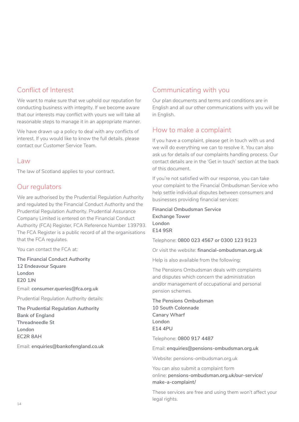## Conflict of Interest

We want to make sure that we uphold our reputation for conducting business with integrity. If we become aware that our interests may conflict with yours we will take all reasonable steps to manage it in an appropriate manner.

We have drawn up a policy to deal with any conflicts of interest. If you would like to know the full details, please contact our Customer Service Team.

#### Law

The law of Scotland applies to your contract.

## Our regulators

We are authorised by the Prudential Regulation Authority and regulated by the Financial Conduct Authority and the Prudential Regulation Authority. Prudential Assurance Company Limited is entered on the Financial Conduct Authority (FCA) Register, FCA Reference Number 139793. The FCA Register is a public record of all the organisations that the FCA regulates.

You can contact the FCA at:

**The Financial Conduct Authority 12 Endeavour Square London E20 1JN**

Email: **consumer.queries@fca.org.uk** 

Prudential Regulation Authority details:

**The Prudential Regulation Authority Bank of England Threadneedle St London EC2R 8AH** 

Email: **enquiries@bankofengland.co.uk**

## Communicating with you

Our plan documents and terms and conditions are in English and all our other communications with you will be in English.

## How to make a complaint

If you have a complaint, please get in touch with us and we will do everything we can to resolve it. You can also ask us for details of our complaints handling process. Our contact details are in the 'Get in touch' section at the back of this document.

If you're not satisfied with our response, you can take your complaint to the Financial Ombudsman Service who help settle individual disputes between consumers and businesses providing financial services:

**Financial Ombudsman Service Exchange Tower London E14 9SR**

Telephone: **0800 023 4567 or 0300 123 9123**

Or visit the website: **[financial-ombudsman.org.uk](http://www.financial-ombudsman.org.uk)**

Help is also available from the following:

The Pensions Ombudsman deals with complaints and disputes which concern the administration and/or management of occupational and personal pension schemes.

**The Pensions Ombudsman 10 South Colonnade Canary Wharf London E14 4PU**

Telephone: **0800 917 4487**

Email: **[enquiries@pensions-ombudsman.org.uk](mailto:enquiries%40pensions-ombudsman.org.uk?subject=)**

Website: [pensions-ombudsman.org.uk](http://www.pensions-ombudsman.org.uk)

You can also submit a complaint form online: **[pensions-ombudsman.org.uk/our-service/](http://www.pensions-ombudsman.org.uk/our-service/make-a-complaint/) [make-a-complaint/](http://www.pensions-ombudsman.org.uk/our-service/make-a-complaint/)** 

These services are free and using them won't affect your legal rights.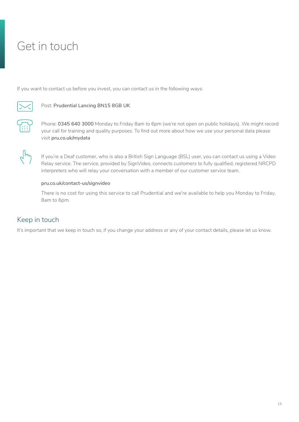# <span id="page-14-0"></span>Get in touch

If you want to contact us before you invest, you can contact us in the following ways:



#### Post: **Prudential Lancing BN15 8GB UK**

Phone: **0345 640 3000** Monday to Friday 8am to 6pm (we're not open on public holidays). We might record your call for training and quality purposes. To find out more about how we use your personal data please visit **[pru.co.uk/mydata](https://www.pru.co.uk/mydata)**



If you're a Deaf customer, who is also a British Sign Language (BSL) user, you can contact us using a Video Relay service. The service, provided by SignVideo, connects customers to fully qualified, registered NRCPD interpreters who will relay your conversation with a member of our customer service team.

#### **[pru.co.uk/contact-us/signvideo](https://www.pru.co.uk/contact-us/signvideo)**

There is no cost for using this service to call Prudential and we're available to help you Monday to Friday, 8am to 6pm.

## Keep in touch

It's important that we keep in touch so, if you change your address or any of your contact details, please let us know.